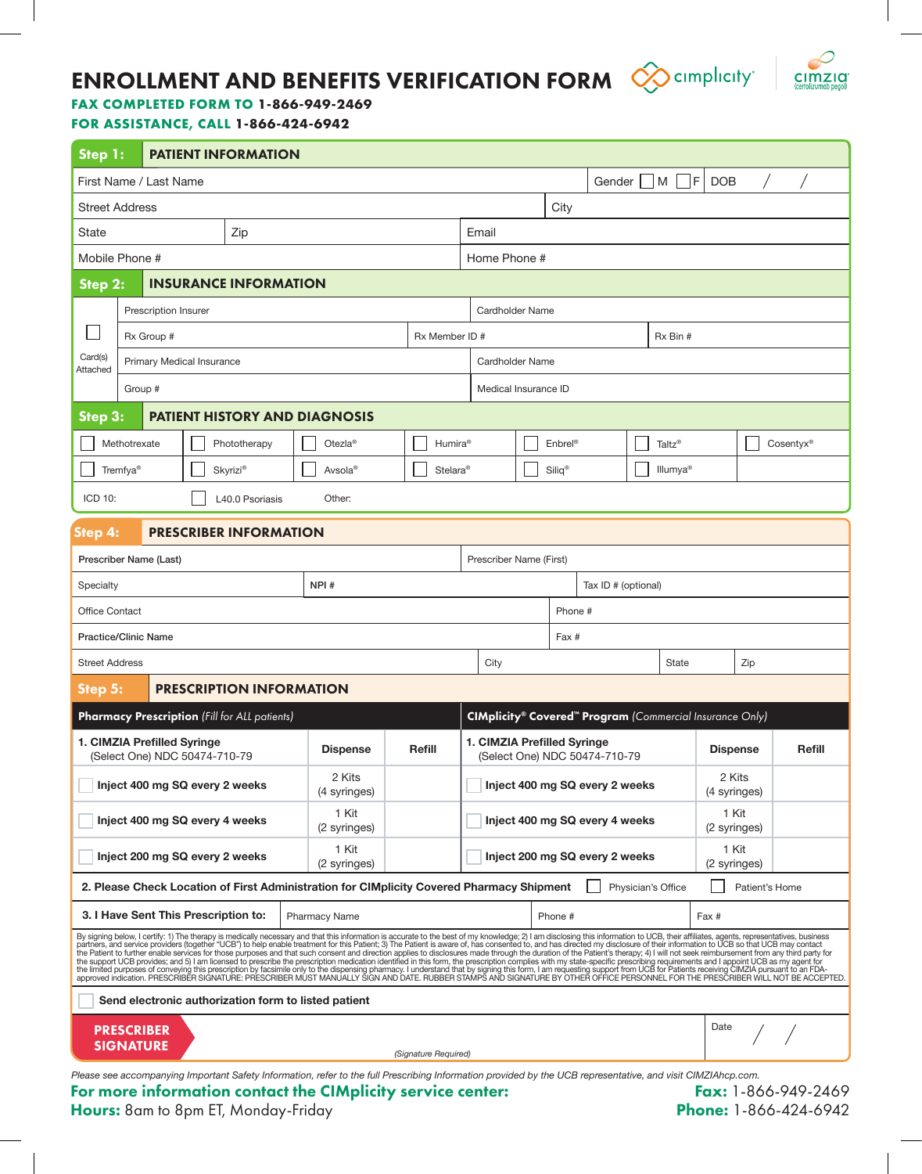# ENROLLMENT AND BENEFITS VERIFICATION FORM  $\bigotimes^{\text{completely}}$



**FAX COMPLETED FORM TO 1-866-949-2469**

# **FOR ASSISTANCE, CALL 1-866-424-6942**

| Step 1:                                                                                                                                                                                                                                                                                                                                                                                                                                                                                                                                                                                                                                                                                                                                                                                                                                                                                                                               |                                          | <b>PATIENT INFORMATION</b> |  |                              |  |                                                                                                                                                              |                            |                        |                                |  |                                                              |                    |                      |                       |                        |  |           |  |
|---------------------------------------------------------------------------------------------------------------------------------------------------------------------------------------------------------------------------------------------------------------------------------------------------------------------------------------------------------------------------------------------------------------------------------------------------------------------------------------------------------------------------------------------------------------------------------------------------------------------------------------------------------------------------------------------------------------------------------------------------------------------------------------------------------------------------------------------------------------------------------------------------------------------------------------|------------------------------------------|----------------------------|--|------------------------------|--|--------------------------------------------------------------------------------------------------------------------------------------------------------------|----------------------------|------------------------|--------------------------------|--|--------------------------------------------------------------|--------------------|----------------------|-----------------------|------------------------|--|-----------|--|
| First Name / Last Name                                                                                                                                                                                                                                                                                                                                                                                                                                                                                                                                                                                                                                                                                                                                                                                                                                                                                                                |                                          |                            |  |                              |  |                                                                                                                                                              |                            |                        |                                |  |                                                              | Gender   M         |                      | F                     | <b>DOB</b>             |  |           |  |
| <b>Street Address</b>                                                                                                                                                                                                                                                                                                                                                                                                                                                                                                                                                                                                                                                                                                                                                                                                                                                                                                                 |                                          | City                       |  |                              |  |                                                                                                                                                              |                            |                        |                                |  |                                                              |                    |                      |                       |                        |  |           |  |
| Zip<br>State                                                                                                                                                                                                                                                                                                                                                                                                                                                                                                                                                                                                                                                                                                                                                                                                                                                                                                                          |                                          |                            |  |                              |  |                                                                                                                                                              |                            | Email                  |                                |  |                                                              |                    |                      |                       |                        |  |           |  |
| Mobile Phone #                                                                                                                                                                                                                                                                                                                                                                                                                                                                                                                                                                                                                                                                                                                                                                                                                                                                                                                        |                                          |                            |  |                              |  |                                                                                                                                                              |                            | Home Phone #           |                                |  |                                                              |                    |                      |                       |                        |  |           |  |
| Step 2:                                                                                                                                                                                                                                                                                                                                                                                                                                                                                                                                                                                                                                                                                                                                                                                                                                                                                                                               |                                          |                            |  | <b>INSURANCE INFORMATION</b> |  |                                                                                                                                                              |                            |                        |                                |  |                                                              |                    |                      |                       |                        |  |           |  |
|                                                                                                                                                                                                                                                                                                                                                                                                                                                                                                                                                                                                                                                                                                                                                                                                                                                                                                                                       |                                          | Prescription Insurer       |  |                              |  |                                                                                                                                                              |                            |                        | <b>Cardholder Name</b>         |  |                                                              |                    |                      |                       |                        |  |           |  |
|                                                                                                                                                                                                                                                                                                                                                                                                                                                                                                                                                                                                                                                                                                                                                                                                                                                                                                                                       | Rx Group #                               |                            |  |                              |  |                                                                                                                                                              | Rx Member ID #<br>Rx Bin # |                        |                                |  |                                                              |                    |                      |                       |                        |  |           |  |
| Card(s)<br>Attached                                                                                                                                                                                                                                                                                                                                                                                                                                                                                                                                                                                                                                                                                                                                                                                                                                                                                                                   | Primary Medical Insurance                |                            |  |                              |  |                                                                                                                                                              |                            | <b>Cardholder Name</b> |                                |  |                                                              |                    |                      |                       |                        |  |           |  |
|                                                                                                                                                                                                                                                                                                                                                                                                                                                                                                                                                                                                                                                                                                                                                                                                                                                                                                                                       | Group #                                  |                            |  |                              |  |                                                                                                                                                              |                            |                        | Medical Insurance ID           |  |                                                              |                    |                      |                       |                        |  |           |  |
| Step 3:<br><b>PATIENT HISTORY AND DIAGNOSIS</b>                                                                                                                                                                                                                                                                                                                                                                                                                                                                                                                                                                                                                                                                                                                                                                                                                                                                                       |                                          |                            |  |                              |  |                                                                                                                                                              |                            |                        |                                |  |                                                              |                    |                      |                       |                        |  |           |  |
|                                                                                                                                                                                                                                                                                                                                                                                                                                                                                                                                                                                                                                                                                                                                                                                                                                                                                                                                       | Methotrexate                             | Phototherapy               |  |                              |  | Otezla <sup>®</sup><br>Humira®                                                                                                                               |                            |                        |                                |  | Enbrel <sup>®</sup>                                          | Taltz <sup>®</sup> |                      |                       |                        |  | Cosentyx® |  |
|                                                                                                                                                                                                                                                                                                                                                                                                                                                                                                                                                                                                                                                                                                                                                                                                                                                                                                                                       | Tremfya <sup>®</sup>                     | Skyrizi®                   |  |                              |  | Avsola <sup>®</sup><br>Stelara <sup>®</sup>                                                                                                                  |                            |                        | $Siliq^{\circledcirc}$         |  |                                                              |                    | Illumya <sup>®</sup> |                       |                        |  |           |  |
| ICD 10:<br>Other:<br>L40.0 Psoriasis                                                                                                                                                                                                                                                                                                                                                                                                                                                                                                                                                                                                                                                                                                                                                                                                                                                                                                  |                                          |                            |  |                              |  |                                                                                                                                                              |                            |                        |                                |  |                                                              |                    |                      |                       |                        |  |           |  |
|                                                                                                                                                                                                                                                                                                                                                                                                                                                                                                                                                                                                                                                                                                                                                                                                                                                                                                                                       | Step 4:<br><b>PRESCRIBER INFORMATION</b> |                            |  |                              |  |                                                                                                                                                              |                            |                        |                                |  |                                                              |                    |                      |                       |                        |  |           |  |
| Prescriber Name (First)<br>Prescriber Name (Last)                                                                                                                                                                                                                                                                                                                                                                                                                                                                                                                                                                                                                                                                                                                                                                                                                                                                                     |                                          |                            |  |                              |  |                                                                                                                                                              |                            |                        |                                |  |                                                              |                    |                      |                       |                        |  |           |  |
| NPI#<br>Specialty                                                                                                                                                                                                                                                                                                                                                                                                                                                                                                                                                                                                                                                                                                                                                                                                                                                                                                                     |                                          |                            |  |                              |  |                                                                                                                                                              |                            | Tax ID # (optional)    |                                |  |                                                              |                    |                      |                       |                        |  |           |  |
| Office Contact                                                                                                                                                                                                                                                                                                                                                                                                                                                                                                                                                                                                                                                                                                                                                                                                                                                                                                                        |                                          |                            |  |                              |  |                                                                                                                                                              |                            | Phone #                |                                |  |                                                              |                    |                      |                       |                        |  |           |  |
| <b>Practice/Clinic Name</b>                                                                                                                                                                                                                                                                                                                                                                                                                                                                                                                                                                                                                                                                                                                                                                                                                                                                                                           |                                          |                            |  |                              |  |                                                                                                                                                              |                            | Fax #                  |                                |  |                                                              |                    |                      |                       |                        |  |           |  |
| <b>Street Address</b>                                                                                                                                                                                                                                                                                                                                                                                                                                                                                                                                                                                                                                                                                                                                                                                                                                                                                                                 |                                          |                            |  |                              |  |                                                                                                                                                              |                            | City                   |                                |  |                                                              |                    | <b>State</b>         | Zip                   |                        |  |           |  |
| <b>PRESCRIPTION INFORMATION</b><br>Step 5:                                                                                                                                                                                                                                                                                                                                                                                                                                                                                                                                                                                                                                                                                                                                                                                                                                                                                            |                                          |                            |  |                              |  |                                                                                                                                                              |                            |                        |                                |  |                                                              |                    |                      |                       |                        |  |           |  |
| CIMplicity® Covered <sup>™</sup> Program (Commercial Insurance Only)<br><b>Pharmacy Prescription</b> (Fill for ALL patients)                                                                                                                                                                                                                                                                                                                                                                                                                                                                                                                                                                                                                                                                                                                                                                                                          |                                          |                            |  |                              |  |                                                                                                                                                              |                            |                        |                                |  |                                                              |                    |                      |                       |                        |  |           |  |
| 1. CIMZIA Prefilled Syringe<br>(Select One) NDC 50474-710-79                                                                                                                                                                                                                                                                                                                                                                                                                                                                                                                                                                                                                                                                                                                                                                                                                                                                          |                                          |                            |  |                              |  | <b>Dispense</b>                                                                                                                                              |                            | Refill                 |                                |  | 1. CIMZIA Prefilled Syringe<br>(Select One) NDC 50474-710-79 |                    |                      |                       | <b>Dispense</b>        |  | Refill    |  |
| Inject 400 mg SQ every 2 weeks                                                                                                                                                                                                                                                                                                                                                                                                                                                                                                                                                                                                                                                                                                                                                                                                                                                                                                        |                                          |                            |  |                              |  | 2 Kits<br>(4 syringes)                                                                                                                                       |                            |                        | Inject 400 mg SQ every 2 weeks |  |                                                              |                    |                      |                       | 2 Kits<br>(4 syringes) |  |           |  |
| Inject 400 mg SQ every 4 weeks                                                                                                                                                                                                                                                                                                                                                                                                                                                                                                                                                                                                                                                                                                                                                                                                                                                                                                        |                                          |                            |  |                              |  | 1 Kit<br>(2 syringes)                                                                                                                                        |                            |                        | Inject 400 mg SQ every 4 weeks |  |                                                              |                    |                      | 1 Kit<br>(2 syringes) |                        |  |           |  |
| Inject 200 mg SQ every 2 weeks                                                                                                                                                                                                                                                                                                                                                                                                                                                                                                                                                                                                                                                                                                                                                                                                                                                                                                        |                                          |                            |  |                              |  | 1 Kit<br>(2 syringes)                                                                                                                                        |                            |                        | Inject 200 mg SQ every 2 weeks |  |                                                              |                    |                      | 1 Kit<br>(2 syringes) |                        |  |           |  |
| 2. Please Check Location of First Administration for CIMplicity Covered Pharmacy Shipment<br>Physician's Office<br>Patient's Home                                                                                                                                                                                                                                                                                                                                                                                                                                                                                                                                                                                                                                                                                                                                                                                                     |                                          |                            |  |                              |  |                                                                                                                                                              |                            |                        |                                |  |                                                              |                    |                      |                       |                        |  |           |  |
| 3. I Have Sent This Prescription to:<br><b>Pharmacy Name</b>                                                                                                                                                                                                                                                                                                                                                                                                                                                                                                                                                                                                                                                                                                                                                                                                                                                                          |                                          |                            |  |                              |  |                                                                                                                                                              |                            |                        | Phone #                        |  |                                                              |                    |                      |                       | Fax #                  |  |           |  |
| By signing below, I certify: 1) The therapy is medically necessary and that this information is accurate to the best of my knowledge; 2) I am disclosing this information to UCB, their affiliates, agents, representatives, b<br>partners, and service providers (together "UCB") to help enable treatment for this Patient; 3) The Patient is aware of, has consented to, and has directed my disclosure of their information to UCB so that UCB may contact<br>the Patient to further enable services for those purposes and that such consent and direction applies to disclosures made through the duration of the Patient's therapy; 4) I will not seek reimbursement from any third party<br>the limited purposes of conveying this prescription by facsimile only to the dispensing pharmacy. I understand that by signing this form, I am requesting support from UCB for Patients receiving CIMZIA pursuant to an FDA-<br>a |                                          |                            |  |                              |  |                                                                                                                                                              |                            |                        |                                |  |                                                              |                    |                      |                       |                        |  |           |  |
|                                                                                                                                                                                                                                                                                                                                                                                                                                                                                                                                                                                                                                                                                                                                                                                                                                                                                                                                       |                                          |                            |  |                              |  | Send electronic authorization form to listed patient                                                                                                         |                            |                        |                                |  |                                                              |                    |                      |                       |                        |  |           |  |
|                                                                                                                                                                                                                                                                                                                                                                                                                                                                                                                                                                                                                                                                                                                                                                                                                                                                                                                                       | <b>PRESCRIBER</b><br><b>SIGNATURE</b>    |                            |  |                              |  |                                                                                                                                                              |                            | (Signature Required)   |                                |  |                                                              |                    |                      |                       | Date                   |  |           |  |
|                                                                                                                                                                                                                                                                                                                                                                                                                                                                                                                                                                                                                                                                                                                                                                                                                                                                                                                                       |                                          |                            |  |                              |  | Please see accompanying Important Safety Information, refer to the full Prescribing Information provided by the UCB representative, and visit CIMZIAhcp.com. |                            |                        |                                |  |                                                              |                    |                      |                       |                        |  |           |  |

For more information contact the CIMplicity service center: Hours: 8am to 8pm ET, Monday-Friday

Fax: 1-866-949-2469 Phone: 1-866-424-6942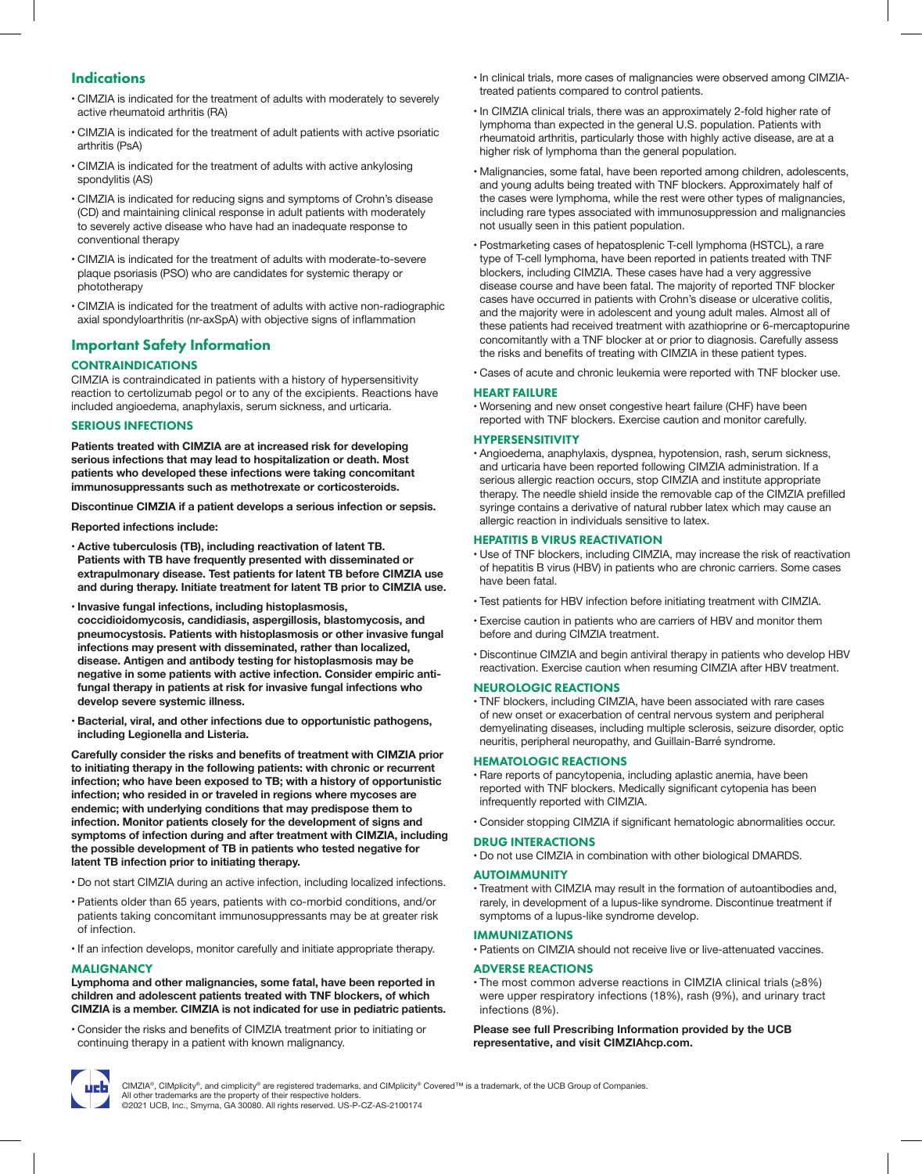# **Indications**

- CIMZIA is indicated for the treatment of adults with moderately to severely active rheumatoid arthritis (RA)
- CIMZIA is indicated for the treatment of adult patients with active psoriatic arthritis (PsA)
- CIMZIA is indicated for the treatment of adults with active ankylosing spondylitis (AS)
- CIMZIA is indicated for reducing signs and symptoms of Crohn's disease (CD) and maintaining clinical response in adult patients with moderately to severely active disease who have had an inadequate response to conventional therapy
- CIMZIA is indicated for the treatment of adults with moderate-to-severe plaque psoriasis (PSO) who are candidates for systemic therapy or phototherapy
- CIMZIA is indicated for the treatment of adults with active non-radiographic axial spondyloarthritis (nr-axSpA) with objective signs of inflammation

## Important Safety Information

### **CONTRAINDICATIONS**

CIMZIA is contraindicated in patients with a history of hypersensitivity reaction to certolizumab pegol or to any of the excipients. Reactions have included angioedema, anaphylaxis, serum sickness, and urticaria.

#### SERIOUS INFECTIONS

**Patients treated with CIMZIA are at increased risk for developing serious infections that may lead to hospitalization or death. Most patients who developed these infections were taking concomitant immunosuppressants such as methotrexate or corticosteroids.**

**Discontinue CIMZIA if a patient develops a serious infection or sepsis.**

**Reported infections include:**

- **• Active tuberculosis (TB), including reactivation of latent TB. Patients with TB have frequently presented with disseminated or extrapulmonary disease. Test patients for latent TB before CIMZIA use and during therapy. Initiate treatment for latent TB prior to CIMZIA use.**
- **• Invasive fungal infections, including histoplasmosis, coccidioidomycosis, candidiasis, aspergillosis, blastomycosis, and pneumocystosis. Patients with histoplasmosis or other invasive fungal infections may present with disseminated, rather than localized, disease. Antigen and antibody testing for histoplasmosis may be negative in some patients with active infection. Consider empiric antifungal therapy in patients at risk for invasive fungal infections who develop severe systemic illness.**
- **• Bacterial, viral, and other infections due to opportunistic pathogens, including Legionella and Listeria.**

**Carefully consider the risks and benefits of treatment with CIMZIA prior to initiating therapy in the following patients: with chronic or recurrent infection; who have been exposed to TB; with a history of opportunistic infection; who resided in or traveled in regions where mycoses are endemic; with underlying conditions that may predispose them to infection. Monitor patients closely for the development of signs and symptoms of infection during and after treatment with CIMZIA, including the possible development of TB in patients who tested negative for latent TB infection prior to initiating therapy.**

- Do not start CIMZIA during an active infection, including localized infections.
- Patients older than 65 years, patients with co-morbid conditions, and/or patients taking concomitant immunosuppressants may be at greater risk of infection.
- If an infection develops, monitor carefully and initiate appropriate therapy.

#### MALIGNANCY

**Lymphoma and other malignancies, some fatal, have been reported in children and adolescent patients treated with TNF blockers, of which CIMZIA is a member. CIMZIA is not indicated for use in pediatric patients.**

• Consider the risks and benefits of CIMZIA treatment prior to initiating or continuing therapy in a patient with known malignancy.

- In clinical trials, more cases of malignancies were observed among CIMZIAtreated patients compared to control patients.
- In CIMZIA clinical trials, there was an approximately 2-fold higher rate of lymphoma than expected in the general U.S. population. Patients with rheumatoid arthritis, particularly those with highly active disease, are at a higher risk of lymphoma than the general population.
- Malignancies, some fatal, have been reported among children, adolescents, and young adults being treated with TNF blockers. Approximately half of the cases were lymphoma, while the rest were other types of malignancies, including rare types associated with immunosuppression and malignancies not usually seen in this patient population.
- Postmarketing cases of hepatosplenic T-cell lymphoma (HSTCL), a rare type of T-cell lymphoma, have been reported in patients treated with TNF blockers, including CIMZIA. These cases have had a very aggressive disease course and have been fatal. The majority of reported TNF blocker cases have occurred in patients with Crohn's disease or ulcerative colitis, and the majority were in adolescent and young adult males. Almost all of these patients had received treatment with azathioprine or 6-mercaptopurine concomitantly with a TNF blocker at or prior to diagnosis. Carefully assess the risks and benefits of treating with CIMZIA in these patient types.

• Cases of acute and chronic leukemia were reported with TNF blocker use.

#### HEART FAILURE

• Worsening and new onset congestive heart failure (CHF) have been reported with TNF blockers. Exercise caution and monitor carefully.

#### HYPERSENSITIVITY

• Angioedema, anaphylaxis, dyspnea, hypotension, rash, serum sickness, and urticaria have been reported following CIMZIA administration. If a serious allergic reaction occurs, stop CIMZIA and institute appropriate therapy. The needle shield inside the removable cap of the CIMZIA prefilled syringe contains a derivative of natural rubber latex which may cause an allergic reaction in individuals sensitive to latex.

#### HEPATITIS B VIRUS REACTIVATION

- Use of TNF blockers, including CIMZIA, may increase the risk of reactivation of hepatitis B virus (HBV) in patients who are chronic carriers. Some cases have been fatal.
- Test patients for HBV infection before initiating treatment with CIMZIA.
- Exercise caution in patients who are carriers of HBV and monitor them before and during CIMZIA treatment.
- Discontinue CIMZIA and begin antiviral therapy in patients who develop HBV reactivation. Exercise caution when resuming CIMZIA after HBV treatment.

#### NEUROLOGIC REACTIONS

• TNF blockers, including CIMZIA, have been associated with rare cases of new onset or exacerbation of central nervous system and peripheral demyelinating diseases, including multiple sclerosis, seizure disorder, optic neuritis, peripheral neuropathy, and Guillain-Barré syndrome.

#### HEMATOLOGIC REACTIONS

- Rare reports of pancytopenia, including aplastic anemia, have been reported with TNF blockers. Medically significant cytopenia has been infrequently reported with CIMZIA.
- Consider stopping CIMZIA if significant hematologic abnormalities occur.

#### DRUG INTERACTIONS

• Do not use CIMZIA in combination with other biological DMARDS.

#### AUTOIMMUNITY

• Treatment with CIMZIA may result in the formation of autoantibodies and, rarely, in development of a lupus-like syndrome. Discontinue treatment if symptoms of a lupus-like syndrome develop.

#### IMMUNIZATIONS

• Patients on CIMZIA should not receive live or live-attenuated vaccines.

#### ADVERSE REACTIONS

• The most common adverse reactions in CIMZIA clinical trials (≥8%) were upper respiratory infections (18%), rash (9%), and urinary tract infections (8%).

**Please see full Prescribing Information provided by the UCB representative, and visit CIMZIAhcp.com.**



CIMZIA®, CIMplicity®, and cimplicity® are registered trademarks, and CIMplicity® Covered™ is a trademark, of the UCB Group of Companies.<br>All other trademarks are the property of their respective holders.<br>©2021 UCB, Inc.,